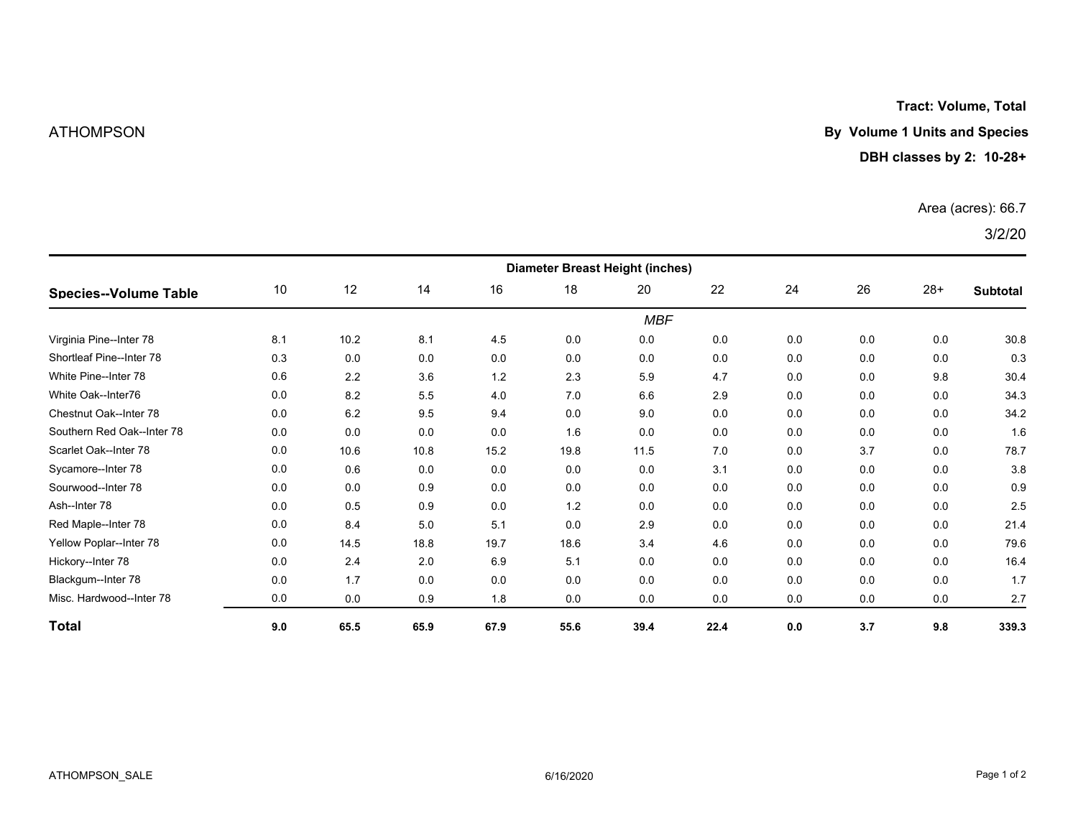**Tract: Volume, Total**

# ATHOMPSON **By Volume 1 Units and Species**

## **DBH classes by 2: 10-28+**

### Area (acres): 66.7

3/2/20

| <b>Species--Volume Table</b> | <b>Diameter Breast Height (inches)</b> |      |      |      |      |      |      |     |     |       |                 |  |
|------------------------------|----------------------------------------|------|------|------|------|------|------|-----|-----|-------|-----------------|--|
|                              | 10                                     | 12   | 14   | 16   | 18   | 20   | 22   | 24  | 26  | $28+$ | <b>Subtotal</b> |  |
|                              | <b>MBF</b>                             |      |      |      |      |      |      |     |     |       |                 |  |
| Virginia Pine--Inter 78      | 8.1                                    | 10.2 | 8.1  | 4.5  | 0.0  | 0.0  | 0.0  | 0.0 | 0.0 | 0.0   | 30.8            |  |
| Shortleaf Pine--Inter 78     | 0.3                                    | 0.0  | 0.0  | 0.0  | 0.0  | 0.0  | 0.0  | 0.0 | 0.0 | 0.0   | 0.3             |  |
| White Pine--Inter 78         | 0.6                                    | 2.2  | 3.6  | 1.2  | 2.3  | 5.9  | 4.7  | 0.0 | 0.0 | 9.8   | 30.4            |  |
| White Oak--Inter76           | 0.0                                    | 8.2  | 5.5  | 4.0  | 7.0  | 6.6  | 2.9  | 0.0 | 0.0 | 0.0   | 34.3            |  |
| Chestnut Oak--Inter 78       | 0.0                                    | 6.2  | 9.5  | 9.4  | 0.0  | 9.0  | 0.0  | 0.0 | 0.0 | 0.0   | 34.2            |  |
| Southern Red Oak--Inter 78   | 0.0                                    | 0.0  | 0.0  | 0.0  | 1.6  | 0.0  | 0.0  | 0.0 | 0.0 | 0.0   | 1.6             |  |
| Scarlet Oak--Inter 78        | 0.0                                    | 10.6 | 10.8 | 15.2 | 19.8 | 11.5 | 7.0  | 0.0 | 3.7 | 0.0   | 78.7            |  |
| Sycamore--Inter 78           | 0.0                                    | 0.6  | 0.0  | 0.0  | 0.0  | 0.0  | 3.1  | 0.0 | 0.0 | 0.0   | 3.8             |  |
| Sourwood--Inter 78           | 0.0                                    | 0.0  | 0.9  | 0.0  | 0.0  | 0.0  | 0.0  | 0.0 | 0.0 | 0.0   | 0.9             |  |
| Ash--Inter 78                | 0.0                                    | 0.5  | 0.9  | 0.0  | 1.2  | 0.0  | 0.0  | 0.0 | 0.0 | 0.0   | 2.5             |  |
| Red Maple--Inter 78          | 0.0                                    | 8.4  | 5.0  | 5.1  | 0.0  | 2.9  | 0.0  | 0.0 | 0.0 | 0.0   | 21.4            |  |
| Yellow Poplar--Inter 78      | 0.0                                    | 14.5 | 18.8 | 19.7 | 18.6 | 3.4  | 4.6  | 0.0 | 0.0 | 0.0   | 79.6            |  |
| Hickory--Inter 78            | 0.0                                    | 2.4  | 2.0  | 6.9  | 5.1  | 0.0  | 0.0  | 0.0 | 0.0 | 0.0   | 16.4            |  |
| Blackgum--Inter 78           | 0.0                                    | 1.7  | 0.0  | 0.0  | 0.0  | 0.0  | 0.0  | 0.0 | 0.0 | 0.0   | 1.7             |  |
| Misc. Hardwood--Inter 78     | 0.0                                    | 0.0  | 0.9  | 1.8  | 0.0  | 0.0  | 0.0  | 0.0 | 0.0 | 0.0   | 2.7             |  |
| <b>Total</b>                 | 9.0                                    | 65.5 | 65.9 | 67.9 | 55.6 | 39.4 | 22.4 | 0.0 | 3.7 | 9.8   | 339.3           |  |